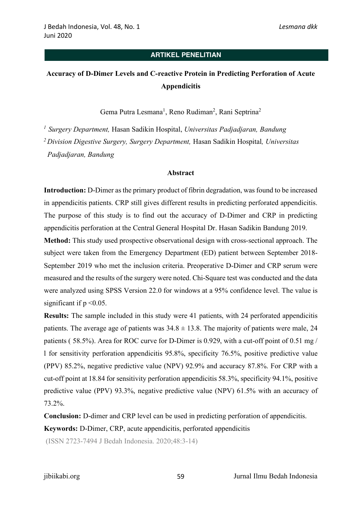# **Accuracy of D-Dimer Levels and C-reactive Protein in Predicting Perforation of Acute Appendicitis**

Gema Putra Lesmana<sup>1</sup>, Reno Rudiman<sup>2</sup>, Rani Septrina<sup>2</sup>

*1 Surgery Department,* Hasan Sadikin Hospital, *Universitas Padjadjaran, Bandung <sup>2</sup> Division Digestive Surgery, Surgery Department,* Hasan Sadikin Hospital*, Universitas Padjadjaran, Bandung*

#### **Abstract**

**Introduction:** D-Dimer as the primary product of fibrin degradation, was found to be increased in appendicitis patients. CRP still gives different results in predicting perforated appendicitis. The purpose of this study is to find out the accuracy of D-Dimer and CRP in predicting appendicitis perforation at the Central General Hospital Dr. Hasan Sadikin Bandung 2019.

**Method:** This study used prospective observational design with cross-sectional approach. The subject were taken from the Emergency Department (ED) patient between September 2018- September 2019 who met the inclusion criteria. Preoperative D-Dimer and CRP serum were measured and the results of the surgery were noted. Chi-Square test was conducted and the data were analyzed using SPSS Version 22.0 for windows at a 95% confidence level. The value is significant if  $p \le 0.05$ .

**Results:** The sample included in this study were 41 patients, with 24 perforated appendicitis patients. The average age of patients was  $34.8 \pm 13.8$ . The majority of patients were male, 24 patients ( 58.5%). Area for ROC curve for D-Dimer is 0.929, with a cut-off point of 0.51 mg / l for sensitivity perforation appendicitis 95.8%, specificity 76.5%, positive predictive value (PPV) 85.2%, negative predictive value (NPV) 92.9% and accuracy 87.8%. For CRP with a cut-off point at 18.84 for sensitivity perforation appendicitis 58.3%, specificity 94.1%, positive predictive value (PPV) 93.3%, negative predictive value (NPV) 61.5% with an accuracy of 73.2%.

**Conclusion:** D-dimer and CRP level can be used in predicting perforation of appendicitis.

**Keywords:** D-Dimer, CRP, acute appendicitis, perforated appendicitis

(ISSN 2723-7494 J Bedah Indonesia. 2020;48:3-14)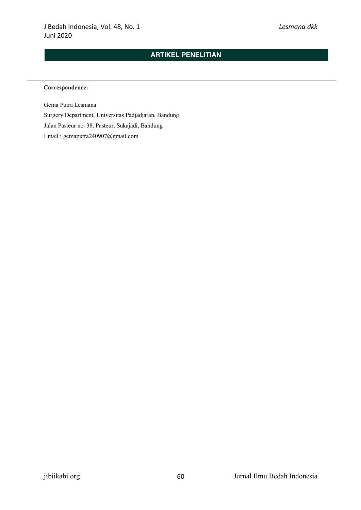#### **Correspondence:**

Gema Putra Lesmana Surgery Department, Universitas Padjadjaran, Bandung Jalan Pasteur no. 38, Pasteur, Sukajadi, Bandung Email : gemaputra240907@gmail.com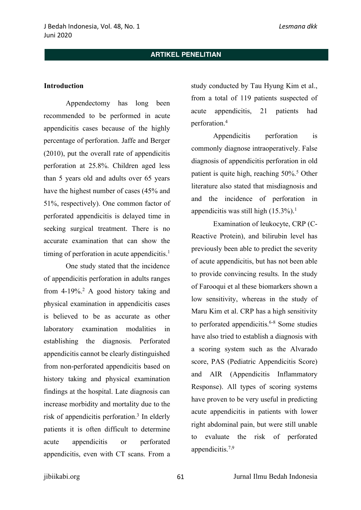#### **Introduction**

Appendectomy has long been recommended to be performed in acute appendicitis cases because of the highly percentage of perforation. Jaffe and Berger (2010), put the overall rate of appendicitis perforation at 25.8%. Children aged less than 5 years old and adults over 65 years have the highest number of cases (45% and 51%, respectively). One common factor of perforated appendicitis is delayed time in seeking surgical treatment. There is no accurate examination that can show the timing of perforation in acute appendicitis.<sup>1</sup>

One study stated that the incidence of appendicitis perforation in adults ranges from  $4-19\%$ <sup>2</sup> A good history taking and physical examination in appendicitis cases is believed to be as accurate as other laboratory examination modalities in establishing the diagnosis. Perforated appendicitis cannot be clearly distinguished from non-perforated appendicitis based on history taking and physical examination findings at the hospital. Late diagnosis can increase morbidity and mortality due to the risk of appendicitis perforation.3 In elderly patients it is often difficult to determine acute appendicitis or perforated appendicitis, even with CT scans. From a

study conducted by Tau Hyung Kim et al., from a total of 119 patients suspected of acute appendicitis, 21 patients had perforation.4

Appendicitis perforation is commonly diagnose intraoperatively. False diagnosis of appendicitis perforation in old patient is quite high, reaching 50%.<sup>5</sup> Other literature also stated that misdiagnosis and and the incidence of perforation in appendicitis was still high (15.3%). 1

Examination of leukocyte, CRP (C-Reactive Protein), and bilirubin level has previously been able to predict the severity of acute appendicitis, but has not been able to provide convincing results. In the study of Farooqui et al these biomarkers shown a low sensitivity, whereas in the study of Maru Kim et al. CRP has a high sensitivity to perforated appendicitis. $6-8$  Some studies have also tried to establish a diagnosis with a scoring system such as the Alvarado score, PAS (Pediatric Appendicitis Score) and AIR (Appendicitis Inflammatory Response). All types of scoring systems have proven to be very useful in predicting acute appendicitis in patients with lower right abdominal pain, but were still unable to evaluate the risk of perforated appendicitis.7,9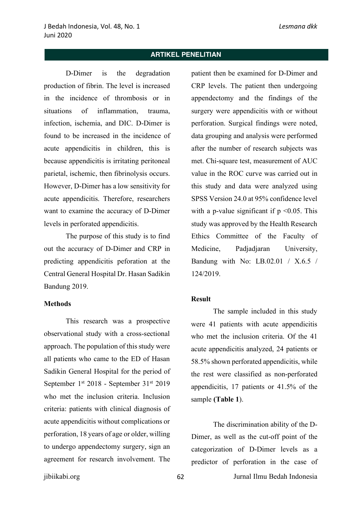D-Dimer is the degradation production of fibrin. The level is increased in the incidence of thrombosis or in situations of inflammation trauma infection, ischemia, and DIC. D-Dimer is found to be increased in the incidence of acute appendicitis in children, this is because appendicitis is irritating peritoneal parietal, ischemic, then fibrinolysis occurs. However, D-Dimer has a low sensitivity for acute appendicitis. Therefore, researchers want to examine the accuracy of D-Dimer levels in perforated appendicitis.

The purpose of this study is to find out the accuracy of D-Dimer and CRP in predicting appendicitis peforation at the Central General Hospital Dr. Hasan Sadikin Bandung 2019.

#### **Methods**

This research was a prospective observational study with a cross-sectional approach. The population of this study were all patients who came to the ED of Hasan Sadikin General Hospital for the period of September 1st 2018 - September 31st 2019 who met the inclusion criteria. Inclusion criteria: patients with clinical diagnosis of acute appendicitis without complications or perforation, 18 years of age or older, willing to undergo appendectomy surgery, sign an agreement for research involvement. The

patient then be examined for D-Dimer and CRP levels. The patient then undergoing appendectomy and the findings of the surgery were appendicitis with or without perforation. Surgical findings were noted, data grouping and analysis were performed after the number of research subjects was met. Chi-square test, measurement of AUC value in the ROC curve was carried out in this study and data were analyzed using SPSS Version 24.0 at 95% confidence level with a p-value significant if  $p \le 0.05$ . This study was approved by the Health Research Ethics Committee of the Faculty of Medicine, Padjadjaran University, Bandung with No: LB.02.01 / X.6.5 / 124/2019.

#### **Result**

The sample included in this study were 41 patients with acute appendicitis who met the inclusion criteria. Of the 41 acute appendicitis analyzed, 24 patients or 58.5% shown perforated appendicitis, while the rest were classified as non-perforated appendicitis, 17 patients or 41.5% of the sample **(Table 1**).

The discrimination ability of the D-Dimer, as well as the cut-off point of the categorization of D-Dimer levels as a predictor of perforation in the case of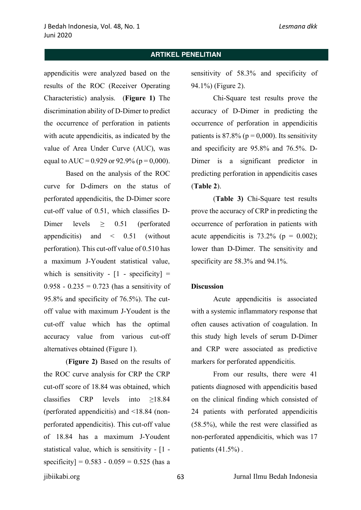appendicitis were analyzed based on the results of the ROC (Receiver Operating Characteristic) analysis. (**Figure 1)** The discrimination ability of D-Dimer to predict the occurrence of perforation in patients with acute appendicitis, as indicated by the value of Area Under Curve (AUC), was equal to AUC = 0.929 or 92.9% ( $p = 0.000$ ).

Based on the analysis of the ROC curve for D-dimers on the status of perforated appendicitis, the D-Dimer score cut-off value of 0.51, which classifies D-Dimer levels > 0.51 (perforated appendicitis) and  $\leq$  0.51 (without perforation). This cut-off value of 0.510 has a maximum J-Youdent statistical value, which is sensitivity -  $[1 -$  specificity] = 0.958 - 0.235 = 0.723 (has a sensitivity of 95.8% and specificity of 76.5%). The cutoff value with maximum J-Youdent is the cut-off value which has the optimal accuracy value from various cut-off alternatives obtained (Figure 1).

(**Figure 2)** Based on the results of the ROC curve analysis for CRP the CRP cut-off score of 18.84 was obtained, which classifies CRP levels into ≥18.84 (perforated appendicitis) and <18.84 (nonperforated appendicitis). This cut-off value of 18.84 has a maximum J-Youdent statistical value, which is sensitivity - [1 specificity] =  $0.583 - 0.059 = 0.525$  (has a

sensitivity of 58.3% and specificity of 94.1%) (Figure 2).

Chi-Square test results prove the accuracy of D-Dimer in predicting the occurrence of perforation in appendicitis patients is  $87.8\%$  ( $p = 0,000$ ). Its sensitivity and specificity are 95.8% and 76.5%. D-Dimer is a significant predictor in predicting perforation in appendicitis cases (**Table 2**).

(**Table 3)** Chi-Square test results prove the accuracy of CRP in predicting the occurrence of perforation in patients with acute appendicitis is  $73.2\%$  (p = 0.002); lower than D-Dimer. The sensitivity and specificity are 58.3% and 94.1%.

#### **Discussion**

Acute appendicitis is associated with a systemic inflammatory response that often causes activation of coagulation. In this study high levels of serum D-Dimer and CRP were associated as predictive markers for perforated appendicitis.

From our results, there were 41 patients diagnosed with appendicitis based on the clinical finding which consisted of 24 patients with perforated appendicitis (58.5%), while the rest were classified as non-perforated appendicitis, which was 17 patients (41.5%) .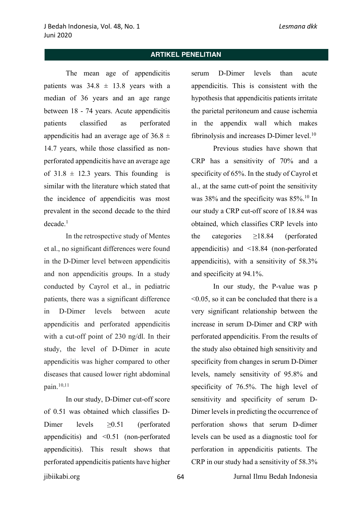The mean age of appendicitis patients was  $34.8 \pm 13.8$  years with a median of 36 years and an age range between 18 - 74 years. Acute appendicitis patients classified as perforated appendicitis had an average age of  $36.8 \pm$ 14.7 years, while those classified as nonperforated appendicitis have an average age of  $31.8 \pm 12.3$  years. This founding is similar with the literature which stated that the incidence of appendicitis was most prevalent in the second decade to the third  $decade<sup>1</sup>$ 

In the retrospective study of Mentes et al., no significant differences were found in the D-Dimer level between appendicitis and non appendicitis groups. In a study conducted by Cayrol et al., in pediatric patients, there was a significant difference in D-Dimer levels between acute appendicitis and perforated appendicitis with a cut-off point of 230 ng/dl. In their study, the level of D-Dimer in acute appendicitis was higher compared to other diseases that caused lower right abdominal pain.10,11

In our study, D-Dimer cut-off score of 0.51 was obtained which classifies D-Dimer levels  $\geq 0.51$  (perforated appendicitis) and <0.51 (non-perforated appendicitis). This result shows that perforated appendicitis patients have higher

serum D-Dimer levels than acute appendicitis. This is consistent with the hypothesis that appendicitis patients irritate the parietal peritoneum and cause ischemia in the appendix wall which makes fibrinolysis and increases D-Dimer level.<sup>10</sup>

Previous studies have shown that CRP has a sensitivity of 70% and a specificity of 65%. In the study of Cayrol et al., at the same cutt-of point the sensitivity was 38% and the specificity was 85%.10 In our study a CRP cut-off score of 18.84 was obtained, which classifies CRP levels into the categories ≥18.84 (perforated appendicitis) and <18.84 (non-perforated appendicitis), with a sensitivity of 58.3% and specificity at 94.1%.

In our study, the P-value was p <0.05, so it can be concluded that there is a very significant relationship between the increase in serum D-Dimer and CRP with perforated appendicitis. From the results of the study also obtained high sensitivity and specificity from changes in serum D-Dimer levels, namely sensitivity of 95.8% and specificity of 76.5%. The high level of sensitivity and specificity of serum D-Dimer levels in predicting the occurrence of perforation shows that serum D-dimer levels can be used as a diagnostic tool for perforation in appendicitis patients. The CRP in our study had a sensitivity of 58.3%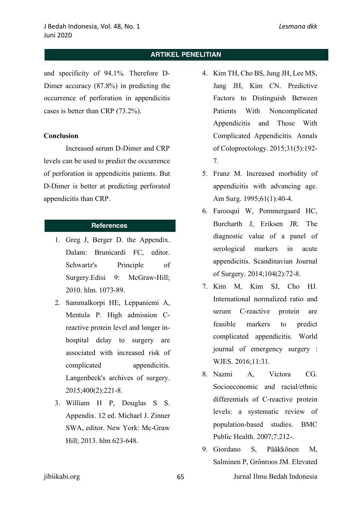and specificity of 94.1%. Therefore D-Dimer accuracy (87.8%) in predicting the occurrence of perforation in appendicitis cases is better than CRP (73.2%).

#### **Conclusion**

Increased serum D-Dimer and CRP levels can be used to predict the occurrence of perforation in appendicitis patients. But D-Dimer is better at predicting perforated appendicitis than CRP.

## **References**

- 1. Greg J, Berger D. the Appendix. Dalam: Brunicardi FC, editor. Schwartz's Principle of Surgery.Edisi 9: McGraw-Hill; 2010. hlm. 1073-89.
- 2. Sammalkorpi HE, Leppaniemi A, Mentula P. High admission Creactive protein level and longer inhospital delay to surgery are associated with increased risk of complicated appendicitis. Langenbeck's archives of surgery. 2015;400(2):221-8.
- 3. William H P, Douglas S S. Appendix. 12 ed. Michael J. Zinner SWA, editor. New York: Mc-Graw Hill; 2013. hlm 623-648.
- 4. Kim TH, Cho BS, Jung JH, Lee MS, Jang JH, Kim CN. Predictive Factors to Distinguish Between Patients With Noncomplicated Appendicitis and Those With Complicated Appendicitis. Annals of Coloproctology. 2015;31(5):192- 7.
- 5. Franz M. Increased morbidity of appendicitis with advancing age. Am Surg. 1995;61(1):40-4.
- 6. Farooqui W, Pommergaard HC, Burcharth J, Eriksen JR. The diagnostic value of a panel of serological markers in acute appendicitis. Scandinavian Journal of Surgery. 2014;104(2):72-8.
- 7. Kim M, Kim SJ, Cho HJ. International normalized ratio and serum C-reactive protein are feasible markers to predict complicated appendicitis. World journal of emergency surgery : WJES. 2016;11:31.
- 8. Nazmi A, Victora CG. Socioeconomic and racial/ethnic differentials of C-reactive protein levels: a systematic review of population-based studies. BMC Public Health. 2007;7:212-.
- 9. Giordano S, Pääkkönen M, Salminen P, Grönroos JM. Elevated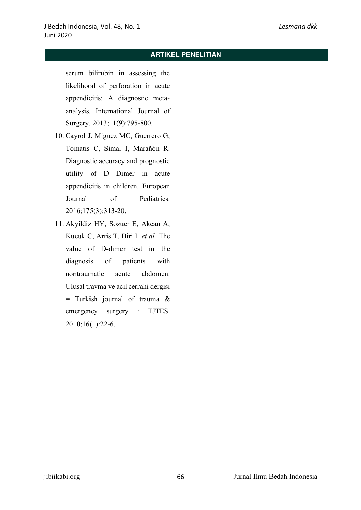serum bilirubin in assessing the likelihood of perforation in acute appendicitis: A diagnostic metaanalysis. International Journal of Surgery. 2013;11(9):795-800.

- 10. Cayrol J, Miguez MC, Guerrero G, Tomatis C, Simal I, Marañón R. Diagnostic accuracy and prognostic utility of D Dimer in acute appendicitis in children. European Journal of Pediatrics. 2016;175(3):313-20.
- 11. Akyildiz HY, Sozuer E, Akcan A, Kucuk C, Artis T, Biri I*, et al.* The value of D-dimer test in the diagnosis of patients with nontraumatic acute abdomen. Ulusal travma ve acil cerrahi dergisi = Turkish journal of trauma & emergency surgery : TJTES. 2010;16(1):22-6.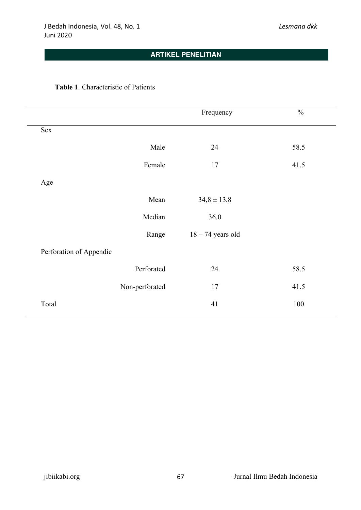## **Table 1**. Characteristic of Patients

|                         |                | Frequency           | $\frac{0}{0}$ |
|-------------------------|----------------|---------------------|---------------|
| Sex                     |                |                     |               |
|                         | Male           | 24                  | 58.5          |
|                         | Female         | 17                  | 41.5          |
| Age                     |                |                     |               |
|                         | Mean           | $34,8 \pm 13,8$     |               |
|                         | Median         | 36.0                |               |
|                         | Range          | $18 - 74$ years old |               |
| Perforation of Appendic |                |                     |               |
|                         | Perforated     | 24                  | 58.5          |
|                         | Non-perforated | 17                  | 41.5          |
| Total                   |                | 41                  | 100           |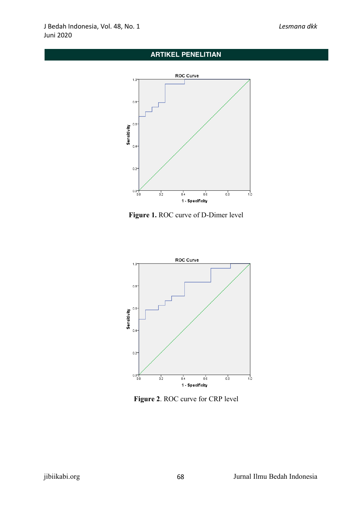

**Figure 1.** ROC curve of D-Dimer level



**Figure 2**. ROC curve for CRP level